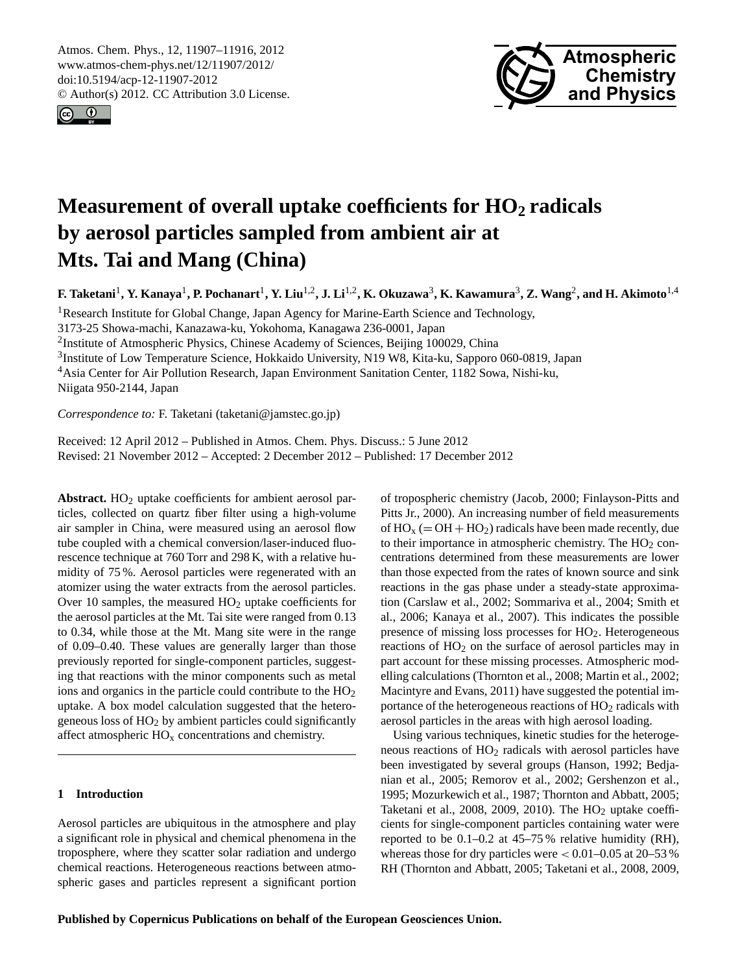<span id="page-0-0"></span>Atmos. Chem. Phys., 12, 11907–11916, 2012 www.atmos-chem-phys.net/12/11907/2012/ doi:10.5194/acp-12-11907-2012 © Author(s) 2012. CC Attribution 3.0 License.





# **Measurement of overall uptake coefficients for HO<sup>2</sup> radicals by aerosol particles sampled from ambient air at Mts. Tai and Mang (China)**

**F. Taketani**<sup>1</sup> **, Y. Kanaya**<sup>1</sup> **, P. Pochanart**<sup>1</sup> **, Y. Liu**1,2**, J. Li**1,2**, K. Okuzawa**<sup>3</sup> **, K. Kawamura**<sup>3</sup> **, Z. Wang**<sup>2</sup> **, and H. Akimoto**1,4

<sup>1</sup>Research Institute for Global Change, Japan Agency for Marine-Earth Science and Technology,

3173-25 Showa-machi, Kanazawa-ku, Yokohoma, Kanagawa 236-0001, Japan

<sup>2</sup>Institute of Atmospheric Physics, Chinese Academy of Sciences, Beijing 100029, China

<sup>3</sup>Institute of Low Temperature Science, Hokkaido University, N19 W8, Kita-ku, Sapporo 060-0819, Japan

<sup>4</sup>Asia Center for Air Pollution Research, Japan Environment Sanitation Center, 1182 Sowa, Nishi-ku,

Niigata 950-2144, Japan

*Correspondence to:* F. Taketani (taketani@jamstec.go.jp)

Received: 12 April 2012 – Published in Atmos. Chem. Phys. Discuss.: 5 June 2012 Revised: 21 November 2012 – Accepted: 2 December 2012 – Published: 17 December 2012

Abstract. HO<sub>2</sub> uptake coefficients for ambient aerosol particles, collected on quartz fiber filter using a high-volume air sampler in China, were measured using an aerosol flow tube coupled with a chemical conversion/laser-induced fluorescence technique at 760 Torr and 298 K, with a relative humidity of 75 %. Aerosol particles were regenerated with an atomizer using the water extracts from the aerosol particles. Over 10 samples, the measured  $HO<sub>2</sub>$  uptake coefficients for the aerosol particles at the Mt. Tai site were ranged from 0.13 to 0.34, while those at the Mt. Mang site were in the range of 0.09–0.40. These values are generally larger than those previously reported for single-component particles, suggesting that reactions with the minor components such as metal ions and organics in the particle could contribute to the  $HO<sub>2</sub>$ uptake. A box model calculation suggested that the heterogeneous loss of  $HO<sub>2</sub>$  by ambient particles could significantly affect atmospheric  $HO_x$  concentrations and chemistry.

### **1 Introduction**

Aerosol particles are ubiquitous in the atmosphere and play a significant role in physical and chemical phenomena in the troposphere, where they scatter solar radiation and undergo chemical reactions. Heterogeneous reactions between atmospheric gases and particles represent a significant portion of tropospheric chemistry (Jacob, 2000; Finlayson-Pitts and Pitts Jr., 2000). An increasing number of field measurements of  $HO_x (= OH + HO_2)$  radicals have been made recently, due to their importance in atmospheric chemistry. The  $HO<sub>2</sub>$  concentrations determined from these measurements are lower than those expected from the rates of known source and sink reactions in the gas phase under a steady-state approximation (Carslaw et al., 2002; Sommariva et al., 2004; Smith et al., 2006; Kanaya et al., 2007). This indicates the possible presence of missing loss processes for  $HO<sub>2</sub>$ . Heterogeneous reactions of  $HO<sub>2</sub>$  on the surface of aerosol particles may in part account for these missing processes. Atmospheric modelling calculations (Thornton et al., 2008; Martin et al., 2002; Macintyre and Evans, 2011) have suggested the potential importance of the heterogeneous reactions of  $HO<sub>2</sub>$  radicals with aerosol particles in the areas with high aerosol loading.

Using various techniques, kinetic studies for the heterogeneous reactions of HO<sup>2</sup> radicals with aerosol particles have been investigated by several groups (Hanson, 1992; Bedjanian et al., 2005; Remorov et al., 2002; Gershenzon et al., 1995; Mozurkewich et al., 1987; Thornton and Abbatt, 2005; Taketani et al., 2008, 2009, 2010). The  $HO<sub>2</sub>$  uptake coefficients for single-component particles containing water were reported to be 0.1–0.2 at 45–75 % relative humidity (RH), whereas those for dry particles were  $< 0.01 - 0.05$  at 20-53 % RH (Thornton and Abbatt, 2005; Taketani et al., 2008, 2009,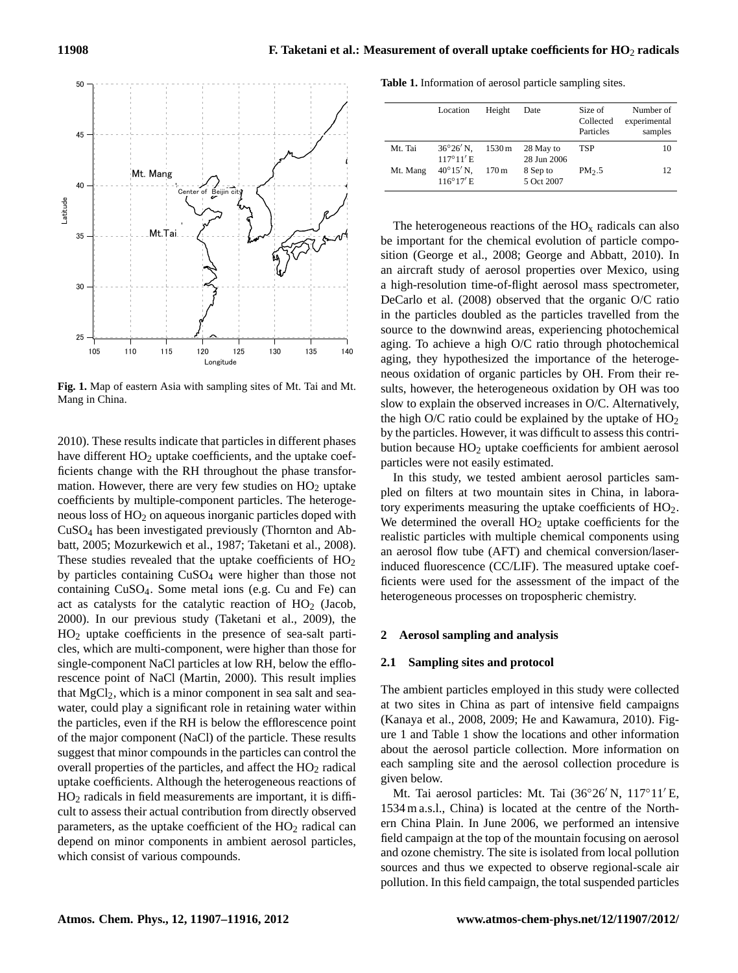

**Fig. 1.** Map of eastern Asia with sampling sites of Mt. Tai and Mt. sults, howe Mang in China. Mang in China.

26 of the major component (NaCl) of the particle. These results 2010). These results indicate that particles in different phases have different  $HO<sub>2</sub>$  uptake coefficients, and the uptake coefficients change with the RH throughout the phase transformation. However, there are very few studies on  $HO<sub>2</sub>$  uptake coefficients by multiple-component particles. The heterogeneous loss of HO<sup>2</sup> on aqueous inorganic particles doped with CuSO<sup>4</sup> has been investigated previously (Thornton and Abbatt, 2005; Mozurkewich et al., 1987; Taketani et al., 2008). These studies revealed that the uptake coefficients of  $HO<sub>2</sub>$ by particles containing CuSO<sup>4</sup> were higher than those not containing CuSO4. Some metal ions (e.g. Cu and Fe) can act as catalysts for the catalytic reaction of  $HO<sub>2</sub>$  (Jacob, 2000). In our previous study (Taketani et al., 2009), the HO<sup>2</sup> uptake coefficients in the presence of sea-salt particles, which are multi-component, were higher than those for single-component NaCl particles at low RH, below the efflorescence point of NaCl (Martin, 2000). This result implies that  $MgCl<sub>2</sub>$ , which is a minor component in sea salt and seawater, could play a significant role in retaining water within the particles, even if the RH is below the efflorescence point suggest that minor compounds in the particles can control the overall properties of the particles, and affect the  $HO<sub>2</sub>$  radical uptake coefficients. Although the heterogeneous reactions of  $HO<sub>2</sub>$  radicals in field measurements are important, it is difficult to assess their actual contribution from directly observed parameters, as the uptake coefficient of the  $HO<sub>2</sub>$  radical can depend on minor components in ambient aerosol particles, which consist of various compounds.

**Table 1.** Information of aerosol particle sampling sites.

|          | Location                                 | Height              | Date                     | Size of<br>Collected<br>Particles | Number of<br>experimental<br>samples |
|----------|------------------------------------------|---------------------|--------------------------|-----------------------------------|--------------------------------------|
| Mt. Tai  | $36^{\circ}26'$ N.<br>$117^{\circ}11'$ E | $1530 \,\mathrm{m}$ | 28 May to<br>28 Jun 2006 | TSP                               | 10                                   |
| Mt. Mang | $40^{\circ}15'$ N,<br>$116^{\circ}17'$ E | 170 <sub>m</sub>    | 8 Sep to<br>5 Oct 2007   | PM <sub>2.5</sub>                 | 12                                   |

The heterogeneous reactions of the  $HO<sub>x</sub>$  radicals can also be important for the chemical evolution of particle composition (George et al., 2008; George and Abbatt, 2010). In an aircraft study of aerosol properties over Mexico, using a high-resolution time-of-flight aerosol mass spectrometer, DeCarlo et al. (2008) observed that the organic O/C ratio in the particles doubled as the particles travelled from the source to the downwind areas, experiencing photochemical aging. To achieve a high O/C ratio through photochemical aging, they hypothesized the importance of the heterogeneous oxidation of organic particles by OH. From their results, however, the heterogeneous oxidation by OH was too slow to explain the observed increases in O/C. Alternatively, the high O/C ratio could be explained by the uptake of  $HO<sub>2</sub>$ by the particles. However, it was difficult to assess this contribution because  $HO<sub>2</sub>$  uptake coefficients for ambient aerosol particles were not easily estimated.

In this study, we tested ambient aerosol particles sampled on filters at two mountain sites in China, in laboratory experiments measuring the uptake coefficients of HO2. We determined the overall  $HO<sub>2</sub>$  uptake coefficients for the realistic particles with multiple chemical components using an aerosol flow tube (AFT) and chemical conversion/laserinduced fluorescence (CC/LIF). The measured uptake coefficients were used for the assessment of the impact of the heterogeneous processes on tropospheric chemistry.

#### **2 Aerosol sampling and analysis**

#### **2.1 Sampling sites and protocol**

The ambient particles employed in this study were collected at two sites in China as part of intensive field campaigns (Kanaya et al., 2008, 2009; He and Kawamura, 2010). Figure 1 and Table 1 show the locations and other information about the aerosol particle collection. More information on each sampling site and the aerosol collection procedure is given below.

Mt. Tai aerosol particles: Mt. Tai (36°26'N, 117°11'E, 1534 m a.s.l., China) is located at the centre of the Northern China Plain. In June 2006, we performed an intensive field campaign at the top of the mountain focusing on aerosol and ozone chemistry. The site is isolated from local pollution sources and thus we expected to observe regional-scale air pollution. In this field campaign, the total suspended particles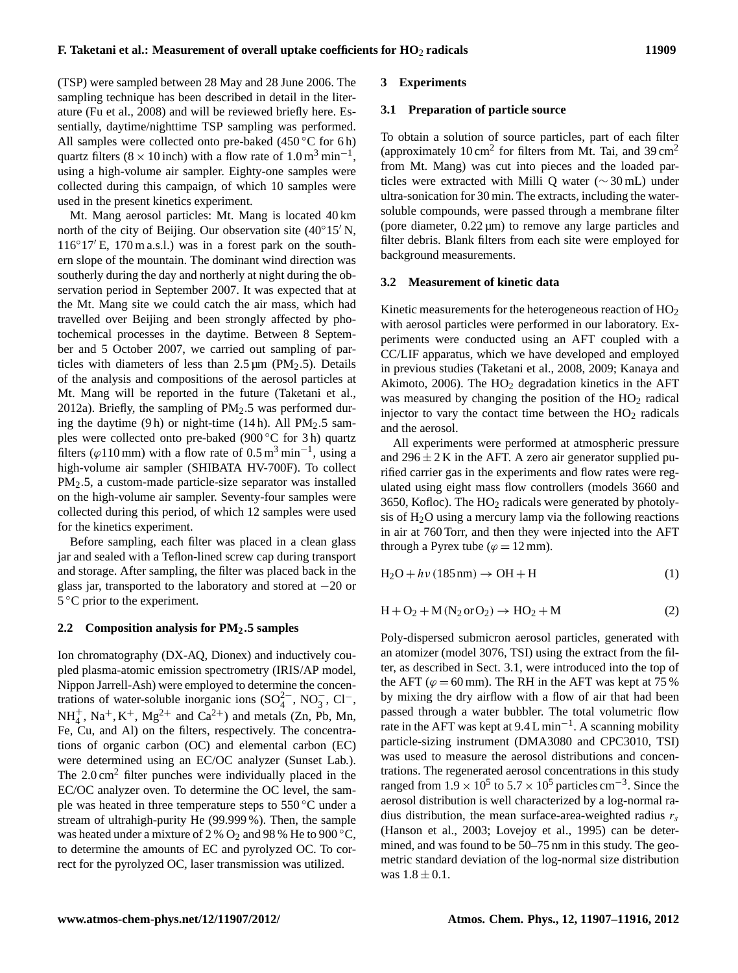(TSP) were sampled between 28 May and 28 June 2006. The sampling technique has been described in detail in the literature (Fu et al., 2008) and will be reviewed briefly here. Essentially, daytime/nighttime TSP sampling was performed. All samples were collected onto pre-baked  $(450 °C)$  for 6 h) quartz filters ( $8 \times 10$  inch) with a flow rate of  $1.0 \text{ m}^3 \text{ min}^{-1}$ , using a high-volume air sampler. Eighty-one samples were collected during this campaign, of which 10 samples were used in the present kinetics experiment.

Mt. Mang aerosol particles: Mt. Mang is located 40 km north of the city of Beijing. Our observation site  $(40^{\circ}15^{\prime}N,$  $116°17′$  E, 170 m a.s.l.) was in a forest park on the southern slope of the mountain. The dominant wind direction was southerly during the day and northerly at night during the observation period in September 2007. It was expected that at the Mt. Mang site we could catch the air mass, which had travelled over Beijing and been strongly affected by photochemical processes in the daytime. Between 8 September and 5 October 2007, we carried out sampling of particles with diameters of less than  $2.5 \,\mu m$  (PM<sub>2</sub>.5). Details of the analysis and compositions of the aerosol particles at Mt. Mang will be reported in the future (Taketani et al., 2012a). Briefly, the sampling of  $PM<sub>2.5</sub>$  was performed during the daytime  $(9 h)$  or night-time  $(14 h)$ . All PM<sub>2</sub>.5 samples were collected onto pre-baked (900 ◦C for 3 h) quartz filters ( $\varphi$ 110 mm) with a flow rate of 0.5 m<sup>3</sup> min<sup>-1</sup>, using a high-volume air sampler (SHIBATA HV-700F). To collect PM2.5, a custom-made particle-size separator was installed on the high-volume air sampler. Seventy-four samples were collected during this period, of which 12 samples were used for the kinetics experiment.

Before sampling, each filter was placed in a clean glass jar and sealed with a Teflon-lined screw cap during transport and storage. After sampling, the filter was placed back in the glass jar, transported to the laboratory and stored at −20 or 5 °C prior to the experiment.

## **2.2 Composition analysis for PM2**.**5 samples**

Ion chromatography (DX-AQ, Dionex) and inductively coupled plasma-atomic emission spectrometry (IRIS/AP model, Nippon Jarrell-Ash) were employed to determine the concentrations of water-soluble inorganic ions  $(SO_4^{2-}, NO_3^-, Cl^-,$  $NH_4^+$ ,  $Na^+, K^+, Mg^{2+}$  and  $Ca^{2+}$ ) and metals (Zn, Pb, Mn, Fe, Cu, and Al) on the filters, respectively. The concentrations of organic carbon (OC) and elemental carbon (EC) were determined using an EC/OC analyzer (Sunset Lab.). The 2.0 cm<sup>2</sup> filter punches were individually placed in the EC/OC analyzer oven. To determine the OC level, the sample was heated in three temperature steps to 550 °C under a stream of ultrahigh-purity He (99.999 %). Then, the sample was heated under a mixture of 2 %  $O_2$  and 98 % He to 900 °C, to determine the amounts of EC and pyrolyzed OC. To correct for the pyrolyzed OC, laser transmission was utilized.

#### **3 Experiments**

#### **3.1 Preparation of particle source**

To obtain a solution of source particles, part of each filter (approximately  $10 \text{ cm}^2$  for filters from Mt. Tai, and  $39 \text{ cm}^2$ from Mt. Mang) was cut into pieces and the loaded particles were extracted with Milli Q water (∼ 30 mL) under ultra-sonication for 30 min. The extracts, including the watersoluble compounds, were passed through a membrane filter (pore diameter, 0.22 µm) to remove any large particles and filter debris. Blank filters from each site were employed for background measurements.

#### **3.2 Measurement of kinetic data**

Kinetic measurements for the heterogeneous reaction of HO<sub>2</sub> with aerosol particles were performed in our laboratory. Experiments were conducted using an AFT coupled with a CC/LIF apparatus, which we have developed and employed in previous studies (Taketani et al., 2008, 2009; Kanaya and Akimoto, 2006). The  $HO<sub>2</sub>$  degradation kinetics in the AFT was measured by changing the position of the  $HO<sub>2</sub>$  radical injector to vary the contact time between the  $HO<sub>2</sub>$  radicals and the aerosol.

All experiments were performed at atmospheric pressure and  $296 \pm 2$  K in the AFT. A zero air generator supplied purified carrier gas in the experiments and flow rates were regulated using eight mass flow controllers (models 3660 and 3650, Kofloc). The  $HO<sub>2</sub>$  radicals were generated by photolysis of  $H_2O$  using a mercury lamp via the following reactions in air at 760 Torr, and then they were injected into the AFT through a Pyrex tube ( $\varphi = 12$  mm).

$$
H_2O + h\nu (185 nm) \to OH + H
$$
 (1)

$$
H + O2 + M(N2 or O2) \rightarrow HO2 + M
$$
 (2)

Poly-dispersed submicron aerosol particles, generated with an atomizer (model 3076, TSI) using the extract from the filter, as described in Sect. 3.1, were introduced into the top of the AFT ( $\varphi$  = 60 mm). The RH in the AFT was kept at 75 % by mixing the dry airflow with a flow of air that had been passed through a water bubbler. The total volumetric flow rate in the AFT was kept at  $9.4 L$  min<sup>-1</sup>. A scanning mobility particle-sizing instrument (DMA3080 and CPC3010, TSI) was used to measure the aerosol distributions and concentrations. The regenerated aerosol concentrations in this study ranged from  $1.9 \times 10^5$  to  $5.7 \times 10^5$  particles cm<sup>-3</sup>. Since the aerosol distribution is well characterized by a log-normal radius distribution, the mean surface-area-weighted radius  $r_s$ (Hanson et al., 2003; Lovejoy et al., 1995) can be determined, and was found to be 50–75 nm in this study. The geometric standard deviation of the log-normal size distribution was  $1.8 \pm 0.1$ .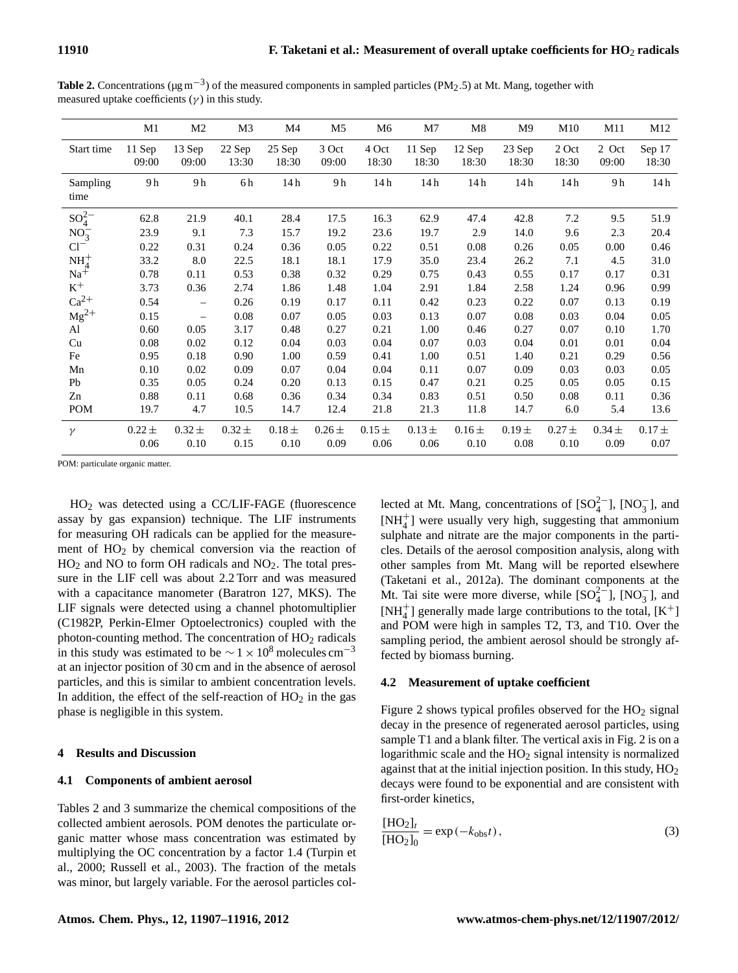|                               | M1                 | M <sub>2</sub>     | M3                 | M4                 | M <sub>5</sub>     | M6                 | M7                 | M8                 | M <sub>9</sub>     | M10                   | M11                | M12                |
|-------------------------------|--------------------|--------------------|--------------------|--------------------|--------------------|--------------------|--------------------|--------------------|--------------------|-----------------------|--------------------|--------------------|
| Start time                    | 11 Sep             | 13 Sep             | 22 Sep             | 25 Sep             | 3 Oct              | 4 Oct              | 11 Sep             | 12 Sep             | 23 Sep             | 2 Oct                 | 2 Oct              | Sep 17             |
|                               | 09:00              | 09:00              | 13:30              | 18:30              | 09:00              | 18:30              | 18:30              | 18:30              | 18:30              | 18:30                 | 09:00              | 18:30              |
| Sampling<br>time              | 9 h                | 9h                 | 6h                 | 14h                | 9h                 | 14h                | 14 <sub>h</sub>    | 14h                | 14h                | 14h                   | 9h                 | 14h                |
| $SO_4^{2-}$                   | 62.8               | 21.9               | 40.1               | 28.4               | 17.5               | 16.3               | 62.9               | 47.4               | 42.8               | 7.2                   | 9.5                | 51.9               |
| $NO_3^-$                      | 23.9               | 9.1                | 7.3                | 15.7               | 19.2               | 23.6               | 19.7               | 2.9                | 14.0               | 9.6                   | 2.3                | 20.4               |
| $Cl^{-}$                      | 0.22               | 0.31               | 0.24               | 0.36               | 0.05               | 0.22               | 0.51               | 0.08               | 0.26               | 0.05                  | 0.00               | 0.46               |
| $\frac{\rm NH_4^+}{\rm Na^+}$ | 33.2               | 8.0                | 22.5               | 18.1               | 18.1               | 17.9               | 35.0               | 23.4               | 26.2               | 7.1                   | 4.5                | 31.0               |
|                               | 0.78               | 0.11               | 0.53               | 0.38               | 0.32               | 0.29               | 0.75               | 0.43               | 0.55               | 0.17                  | 0.17               | 0.31               |
| $\rm K^+$                     | 3.73               | 0.36               | 2.74               | 1.86               | 1.48               | 1.04               | 2.91               | 1.84               | 2.58               | 1.24                  | 0.96               | 0.99               |
| $Ca^{2+}$                     | 0.54               | $\equiv$           | 0.26               | 0.19               | 0.17               | 0.11               | 0.42               | 0.23               | 0.22               | 0.07                  | 0.13               | 0.19               |
| $Mg^{2+}$                     | 0.15               | $\qquad \qquad -$  | 0.08               | 0.07               | 0.05               | 0.03               | 0.13               | 0.07               | 0.08               | 0.03                  | 0.04               | 0.05               |
| Al                            | 0.60               | 0.05               | 3.17               | 0.48               | 0.27               | 0.21               | 1.00               | 0.46               | 0.27               | 0.07                  | 0.10               | 1.70               |
| Cu                            | 0.08               | 0.02               | 0.12               | 0.04               | 0.03               | 0.04               | 0.07               | 0.03               | 0.04               | 0.01                  | 0.01               | 0.04               |
| Fe                            | 0.95               | 0.18               | 0.90               | 1.00               | 0.59               | 0.41               | 1.00               | 0.51               | 1.40               | 0.21                  | 0.29               | 0.56               |
| Mn                            | 0.10               | 0.02               | 0.09               | 0.07               | 0.04               | 0.04               | 0.11               | 0.07               | 0.09               | 0.03                  | 0.03               | 0.05               |
| Pb                            | 0.35               | 0.05               | 0.24               | 0.20               | 0.13               | 0.15               | 0.47               | 0.21               | 0.25               | 0.05                  | 0.05               | 0.15               |
| Zn                            | 0.88               | 0.11               | 0.68               | 0.36               | 0.34               | 0.34               | 0.83               | 0.51               | 0.50               | 0.08                  | 0.11               | 0.36               |
| POM                           | 19.7               | 4.7                | 10.5               | 14.7               | 12.4               | 21.8               | 21.3               | 11.8               | 14.7               | 6.0                   | 5.4                | 13.6               |
| $\gamma$                      | $0.22 \pm$<br>0.06 | $0.32 \pm$<br>0.10 | $0.32 \pm$<br>0.15 | $0.18 \pm$<br>0.10 | $0.26 \pm$<br>0.09 | $0.15 \pm$<br>0.06 | $0.13 \pm$<br>0.06 | $0.16 \pm$<br>0.10 | $0.19 \pm$<br>0.08 | $0.27\,\pm\,$<br>0.10 | $0.34 \pm$<br>0.09 | $0.17 \pm$<br>0.07 |
|                               |                    |                    |                    |                    |                    |                    |                    |                    |                    |                       |                    |                    |

**Table 2.** Concentrations ( $\mu$ g m<sup>-3</sup>) of the measured components in sampled particles (PM<sub>2</sub>.5) at Mt. Mang, together with measured uptake coefficients  $(\gamma)$  in this study.

POM: particulate organic matter.

HO<sup>2</sup> was detected using a CC/LIF-FAGE (fluorescence assay by gas expansion) technique. The LIF instruments for measuring OH radicals can be applied for the measurement of  $HO<sub>2</sub>$  by chemical conversion via the reaction of  $HO<sub>2</sub>$  and NO to form OH radicals and NO<sub>2</sub>. The total pressure in the LIF cell was about 2.2 Torr and was measured with a capacitance manometer (Baratron 127, MKS). The LIF signals were detected using a channel photomultiplier (C1982P, Perkin-Elmer Optoelectronics) coupled with the photon-counting method. The concentration of  $HO<sub>2</sub>$  radicals in this study was estimated to be  $\sim$  1 × 10<sup>8</sup> molecules cm<sup>-3</sup> at an injector position of 30 cm and in the absence of aerosol particles, and this is similar to ambient concentration levels. In addition, the effect of the self-reaction of  $HO<sub>2</sub>$  in the gas phase is negligible in this system.

#### **4 Results and Discussion**

#### **4.1 Components of ambient aerosol**

Tables 2 and 3 summarize the chemical compositions of the collected ambient aerosols. POM denotes the particulate organic matter whose mass concentration was estimated by multiplying the OC concentration by a factor 1.4 (Turpin et al., 2000; Russell et al., 2003). The fraction of the metals was minor, but largely variable. For the aerosol particles col-

lected at Mt. Mang, concentrations of  $[SO_4^{2-}]$ ,  $[NO_3^-]$ , and [NH<sup>+</sup> 4 ] were usually very high, suggesting that ammonium sulphate and nitrate are the major components in the particles. Details of the aerosol composition analysis, along with other samples from Mt. Mang will be reported elsewhere (Taketani et al., 2012a). The dominant components at the Mt. Tai site were more diverse, while  $[SO_4^{2-}]$ ,  $[NO_3^-]$ , and [NH $_4^+$ ] generally made large contributions to the total, [K<sup>+</sup>] and POM were high in samples T2, T3, and T10. Over the sampling period, the ambient aerosol should be strongly affected by biomass burning.

#### **4.2 Measurement of uptake coefficient**

Figure 2 shows typical profiles observed for the  $HO<sub>2</sub>$  signal decay in the presence of regenerated aerosol particles, using sample T1 and a blank filter. The vertical axis in Fig. 2 is on a logarithmic scale and the  $HO<sub>2</sub>$  signal intensity is normalized against that at the initial injection position. In this study,  $HO<sub>2</sub>$ decays were found to be exponential and are consistent with first-order kinetics,

$$
\frac{[HO_2]_t}{[HO_2]_0} = \exp(-k_{obs}t),
$$
\n(3)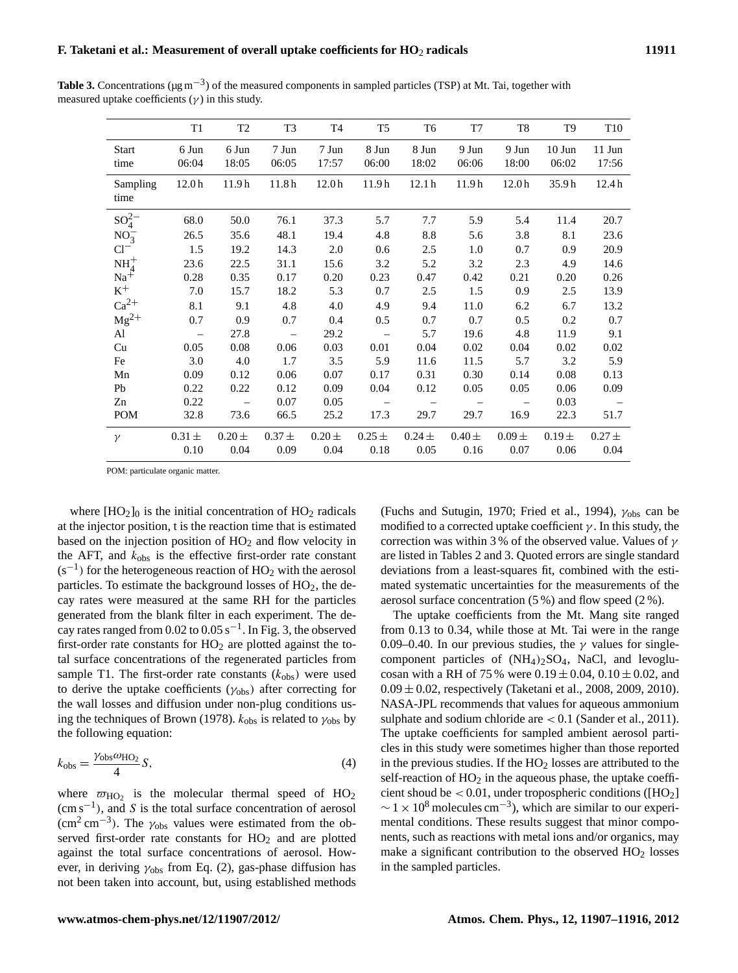|                  | T <sub>1</sub>           | T <sub>2</sub>    | T <sub>3</sub>           | T4                | T <sub>5</sub>           | T6                | T7                | T <sub>8</sub>    | T9         | T <sub>10</sub> |
|------------------|--------------------------|-------------------|--------------------------|-------------------|--------------------------|-------------------|-------------------|-------------------|------------|-----------------|
| <b>Start</b>     | 6 Jun                    | 6 Jun             | 7 Jun                    | 7 Jun             | 8 Jun                    | 8 Jun             | 9 Jun             | 9 Jun             | $10$ Jun   | $11$ Jun        |
| time             | 06:04                    | 18:05             | 06:05                    | 17:57             | 06:00                    | 18:02             | 06:06             | 18:00             | 06:02      | 17:56           |
| Sampling<br>time | 12.0 <sub>h</sub>        | 11.9 <sub>h</sub> | 11.8 <sub>h</sub>        | 12.0 <sub>h</sub> | 11.9 <sub>h</sub>        | 12.1 <sub>h</sub> | 11.9 <sub>h</sub> | 12.0 <sub>h</sub> | 35.9h      | 12.4h           |
| $SO_4^{2-}$      | 68.0                     | 50.0              | 76.1                     | 37.3              | 5.7                      | 7.7               | 5.9               | 5.4               | 11.4       | 20.7            |
| $NO_3^-$         | 26.5                     | 35.6              | 48.1                     | 19.4              | 4.8                      | 8.8               | 5.6               | 3.8               | 8.1        | 23.6            |
| $Cl^{-}$         | 1.5                      | 19.2              | 14.3                     | 2.0               | 0.6                      | 2.5               | 1.0               | 0.7               | 0.9        | 20.9            |
| $NH4+$           | 23.6                     | 22.5              | 31.1                     | 15.6              | 3.2                      | 5.2               | 3.2               | 2.3               | 4.9        | 14.6            |
| $Na^{\ddagger}$  | 0.28                     | 0.35              | 0.17                     | 0.20              | 0.23                     | 0.47              | 0.42              | 0.21              | 0.20       | 0.26            |
| $\rm K^+$        | 7.0                      | 15.7              | 18.2                     | 5.3               | 0.7                      | 2.5               | 1.5               | 0.9               | 2.5        | 13.9            |
| $Ca^{2+}$        | 8.1                      | 9.1               | 4.8                      | 4.0               | 4.9                      | 9.4               | 11.0              | 6.2               | 6.7        | 13.2            |
| $Mg^{2+}$        | 0.7                      | 0.9               | 0.7                      | 0.4               | 0.5                      | 0.7               | 0.7               | 0.5               | 0.2        | 0.7             |
| Al               | $\overline{\phantom{m}}$ | 27.8              | $\overline{\phantom{m}}$ | 29.2              | $\overline{\phantom{0}}$ | 5.7               | 19.6              | 4.8               | 11.9       | 9.1             |
| Cu               | 0.05                     | 0.08              | 0.06                     | 0.03              | 0.01                     | 0.04              | 0.02              | 0.04              | 0.02       | 0.02            |
| Fe               | 3.0                      | 4.0               | 1.7                      | 3.5               | 5.9                      | 11.6              | 11.5              | 5.7               | 3.2        | 5.9             |
| Mn               | 0.09                     | 0.12              | 0.06                     | 0.07              | 0.17                     | 0.31              | 0.30              | 0.14              | 0.08       | 0.13            |
| Pb               | 0.22                     | 0.22              | 0.12                     | 0.09              | 0.04                     | 0.12              | 0.05              | 0.05              | 0.06       | 0.09            |
| Zn               | 0.22                     |                   | 0.07                     | 0.05              |                          |                   |                   |                   | 0.03       |                 |
| <b>POM</b>       | 32.8                     | 73.6              | 66.5                     | 25.2              | 17.3                     | 29.7              | 29.7              | 16.9              | 22.3       | 51.7            |
| $\gamma$         | $0.31 \pm$               | $0.20 \pm$        | $0.37 \pm$               | $0.20 \pm$        | $0.25 \pm$               | $0.24 \pm$        | $0.40 \pm$        | $0.09 \pm$        | $0.19 \pm$ | $0.27 \pm$      |
|                  | 0.10                     | 0.04              | 0.09                     | 0.04              | 0.18                     | 0.05              | 0.16              | 0.07              | 0.06       | 0.04            |

Table 3. Concentrations (μg m<sup>-3</sup>) of the measured components in sampled particles (TSP) at Mt. Tai, together with measured uptake coefficients  $(\gamma)$  in this study.

POM: particulate organic matter.

where  $[HO_2]_0$  is the initial concentration of  $HO_2$  radicals at the injector position, t is the reaction time that is estimated based on the injection position of  $HO<sub>2</sub>$  and flow velocity in the AFT, and  $k_{obs}$  is the effective first-order rate constant  $(s^{-1})$  for the heterogeneous reaction of HO<sub>2</sub> with the aerosol particles. To estimate the background losses of  $HO<sub>2</sub>$ , the decay rates were measured at the same RH for the particles generated from the blank filter in each experiment. The decay rates ranged from 0.02 to  $0.05 \text{ s}^{-1}$ . In Fig. 3, the observed first-order rate constants for  $HO<sub>2</sub>$  are plotted against the total surface concentrations of the regenerated particles from sample T1. The first-order rate constants  $(k_{obs})$  were used to derive the uptake coefficients ( $\gamma_{\rm obs}$ ) after correcting for the wall losses and diffusion under non-plug conditions using the techniques of Brown (1978).  $k_{\text{obs}}$  is related to  $\gamma_{\text{obs}}$  by the following equation:

$$
k_{\rm obs} = \frac{\gamma_{\rm obs} \omega_{\rm HO_2}}{4} S,\tag{4}
$$

where  $\overline{\omega}_{\text{HO}_2}$  is the molecular thermal speed of HO<sub>2</sub> (cm s−<sup>1</sup> ), and S is the total surface concentration of aerosol  $\rm (cm^2\,cm^{-3})$ . The  $\gamma_{\rm obs}$  values were estimated from the observed first-order rate constants for  $HO<sub>2</sub>$  and are plotted against the total surface concentrations of aerosol. However, in deriving  $\gamma_{\text{obs}}$  from Eq. (2), gas-phase diffusion has not been taken into account, but, using established methods (Fuchs and Sutugin, 1970; Fried et al., 1994),  $\gamma_{obs}$  can be modified to a corrected uptake coefficient  $\gamma$ . In this study, the correction was within 3 % of the observed value. Values of  $\gamma$ are listed in Tables 2 and 3. Quoted errors are single standard deviations from a least-squares fit, combined with the estimated systematic uncertainties for the measurements of the aerosol surface concentration (5 %) and flow speed (2 %).

The uptake coefficients from the Mt. Mang site ranged from 0.13 to 0.34, while those at Mt. Tai were in the range 0.09–0.40. In our previous studies, the  $\gamma$  values for singlecomponent particles of  $(NH<sub>4</sub>)<sub>2</sub>SO<sub>4</sub>$ , NaCl, and levoglucosan with a RH of 75 % were  $0.19 \pm 0.04$ ,  $0.10 \pm 0.02$ , and  $0.09 \pm 0.02$ , respectively (Taketani et al., 2008, 2009, 2010). NASA-JPL recommends that values for aqueous ammonium sulphate and sodium chloride are < 0.1 (Sander et al., 2011). The uptake coefficients for sampled ambient aerosol particles in this study were sometimes higher than those reported in the previous studies. If the  $HO<sub>2</sub>$  losses are attributed to the self-reaction of  $HO<sub>2</sub>$  in the aqueous phase, the uptake coefficient shoud be  $< 0.01$ , under tropospheric conditions ([HO<sub>2</sub>]  $\sim$  1 × 10<sup>8</sup> molecules cm<sup>-3</sup>), which are similar to our experimental conditions. These results suggest that minor components, such as reactions with metal ions and/or organics, may make a significant contribution to the observed  $HO<sub>2</sub>$  losses in the sampled particles.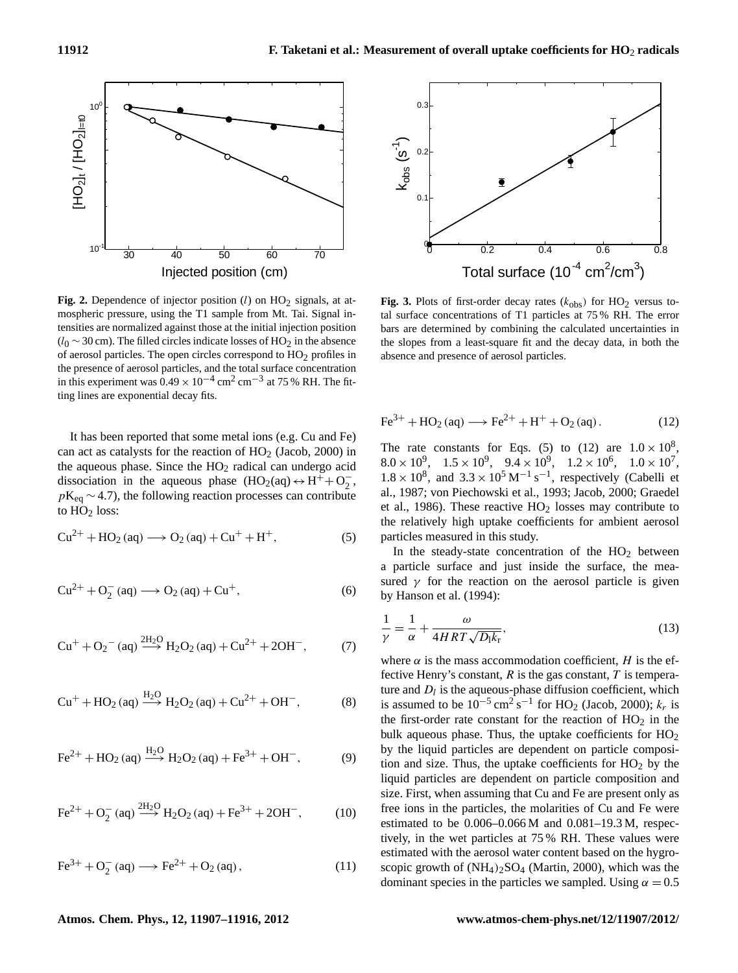

mospheric pressure, using the T1 sample from Mt. Tai. Signal in-<br>tal surface concentration tensities are normalized against those at the initial injection position bars are determined by  $\frac{1}{20}$   $\frac{1}{20}$  cm). The filled circles indicate losses of HO<sub>2</sub> in the absence of aerosol particles. The open circles correspond to HO<sub>2</sub> profiles in absence and presence of the presence of aerosol particles, and the total surface concentration in this experiment was  $0.49 \times 10^{-4}$  cm<sup>2</sup> cm<sup>-3</sup> at 75 % RH. The fitting lines are exponential decay fits. Fig. 2. Dependence of injector position  $(l)$  on  $HO<sub>2</sub>$  signals, at at- $(l_0 \sim 30 \text{ cm})$ . The filled circles indicate losses of HO<sub>2</sub> in the absence

It has been reported that some metal ions (e.g. Cu and Fe) can act as catalysts for the reaction of  $HO<sub>2</sub>$  (Jacob, 2000) in the aqueous phase. Since the  $HO<sub>2</sub>$  radical can undergo acid dissociation in the aqueous phase  $(HO_2(aq) \leftrightarrow H^+ + O_2^ \frac{1}{2}$ ,  $pK_{eq} \sim 4.7$ ), the following reaction processes can contribute to  $HO<sub>2</sub>$  loss:

$$
Cu^{2+} + HO_2(aq) \longrightarrow O_2(aq) + Cu^{+} + H^{+},
$$
 (5)

$$
Cu^{2+} + O_2^-(aq) \longrightarrow O_2(aq) + Cu^+, \tag{6}
$$

$$
Cu^{+} + O_{2}^{-} (aq) \xrightarrow{2H_{2}O} H_{2}O_{2} (aq) + Cu^{2+} + 2OH^{-},
$$
 (7)

$$
Cu^{+} + HO_{2}(aq) \xrightarrow{H_{2}O} H_{2}O_{2}(aq) + Cu^{2+} + OH^{-},
$$
 (8)

$$
\text{Fe}^{2+} + \text{HO}_2 \text{ (aq)} \xrightarrow{\text{H}_2\text{O}} \text{H}_2\text{O}_2 \text{ (aq)} + \text{Fe}^{3+} + \text{OH}^-, \tag{9}
$$

$$
\text{Fe}^{2+} + \text{O}_2^- \text{ (aq)} \xrightarrow{2H_2\text{O}} H_2\text{O}_2 \text{ (aq)} + \text{Fe}^{3+} + 2\text{OH}^-, \tag{10}
$$

$$
\text{Fe}^{3+} + \text{O}_2^-(\text{aq}) \longrightarrow \text{Fe}^{2+} + \text{O}_2(\text{aq}),\tag{11}
$$



tal surface concentrations of T1 particles at 75 % RH. The error the slopes from a least-square fit and the decay data, in both the absence and presence of aerosol particles. **Fig. 3.** Plots of first-order decay rates  $(k_{obs})$  for  $HO_2$  versus tobars are determined by combining the calculated uncertainties in

$$
\text{Fe}^{3+} + \text{HO}_2\left(\text{aq}\right) \longrightarrow \text{Fe}^{2+} + \text{H}^+ + \text{O}_2\left(\text{aq}\right). \tag{12}
$$

The rate constants for Eqs. (5) to (12) are  $1.0 \times 10^8$ ,  $8.0 \times 10^9$ ,  $1.5 \times 10^9$ ,  $9.4 \times 10^9$ ,  $1.2 \times 10^6$ ,  $1.0 \times 10^7$ ,  $1.8 \times 10^8$ , and  $3.3 \times 10^5$  M<sup>-1</sup> s<sup>-1</sup>, respectively (Cabelli et al., 1987; von Piechowski et al., 1993; Jacob, 2000; Graedel et al., 1986). These reactive  $HO<sub>2</sub>$  losses may contribute to the relatively high uptake coefficients for ambient aerosol particles measured in this study.

In the steady-state concentration of the  $HO<sub>2</sub>$  between a particle surface and just inside the surface, the measured  $\gamma$  for the reaction on the aerosol particle is given by Hanson et al. (1994):

$$
\frac{1}{\gamma} = \frac{1}{\alpha} + \frac{\omega}{4HRT\sqrt{D_1k_r}},\tag{13}
$$

 $29$  are inputs paracide are dependent on paracide composition and size. Thus, the uptake coefficients for  $HO<sub>2</sub>$  by the where  $\alpha$  is the mass accommodation coefficient, H is the effective Henry's constant,  $R$  is the gas constant,  $T$  is temperature and  $D_l$  is the aqueous-phase diffusion coefficient, which is assumed to be  $10^{-5}$  cm<sup>2</sup> s<sup>-1</sup> for HO<sub>2</sub> (Jacob, 2000);  $k_r$  is the first-order rate constant for the reaction of  $HO<sub>2</sub>$  in the bulk aqueous phase. Thus, the uptake coefficients for  $HO<sub>2</sub>$ by the liquid particles are dependent on particle composiliquid particles are dependent on particle composition and size. First, when assuming that Cu and Fe are present only as free ions in the particles, the molarities of Cu and Fe were estimated to be  $0.006-0.066$  M and  $0.081-19.3$  M, respectively, in the wet particles at 75 % RH. These values were estimated with the aerosol water content based on the hygroscopic growth of  $(NH_4)_2SO_4$  (Martin, 2000), which was the dominant species in the particles we sampled. Using  $\alpha = 0.5$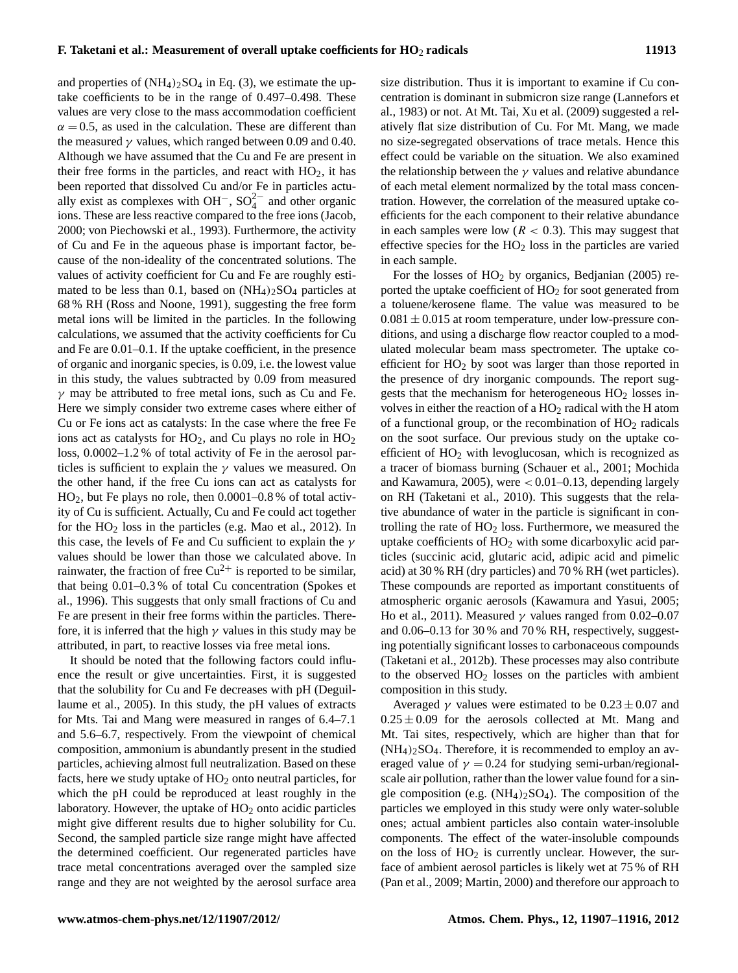and properties of  $(NH_4)_2SO_4$  in Eq. (3), we estimate the uptake coefficients to be in the range of 0.497–0.498. These values are very close to the mass accommodation coefficient  $\alpha = 0.5$ , as used in the calculation. These are different than the measured  $\gamma$  values, which ranged between 0.09 and 0.40. Although we have assumed that the Cu and Fe are present in their free forms in the particles, and react with  $HO<sub>2</sub>$ , it has been reported that dissolved Cu and/or Fe in particles actually exist as complexes with OH<sup>-</sup>, SO<sub>4</sub><sup>2-</sup> and other organic ions. These are less reactive compared to the free ions (Jacob, 2000; von Piechowski et al., 1993). Furthermore, the activity of Cu and Fe in the aqueous phase is important factor, because of the non-ideality of the concentrated solutions. The values of activity coefficient for Cu and Fe are roughly estimated to be less than 0.1, based on  $(NH_4)_2SO_4$  particles at 68 % RH (Ross and Noone, 1991), suggesting the free form metal ions will be limited in the particles. In the following calculations, we assumed that the activity coefficients for Cu and Fe are 0.01–0.1. If the uptake coefficient, in the presence of organic and inorganic species, is 0.09, i.e. the lowest value in this study, the values subtracted by 0.09 from measured  $\gamma$  may be attributed to free metal ions, such as Cu and Fe. Here we simply consider two extreme cases where either of Cu or Fe ions act as catalysts: In the case where the free Fe ions act as catalysts for  $HO_2$ , and Cu plays no role in  $HO_2$ loss, 0.0002–1.2 % of total activity of Fe in the aerosol particles is sufficient to explain the  $\gamma$  values we measured. On the other hand, if the free Cu ions can act as catalysts for HO2, but Fe plays no role, then 0.0001–0.8 % of total activity of Cu is sufficient. Actually, Cu and Fe could act together for the  $HO<sub>2</sub>$  loss in the particles (e.g. Mao et al., 2012). In this case, the levels of Fe and Cu sufficient to explain the  $\gamma$ values should be lower than those we calculated above. In rainwater, the fraction of free  $Cu^{2+}$  is reported to be similar, that being 0.01–0.3 % of total Cu concentration (Spokes et al., 1996). This suggests that only small fractions of Cu and Fe are present in their free forms within the particles. Therefore, it is inferred that the high  $\gamma$  values in this study may be attributed, in part, to reactive losses via free metal ions.

It should be noted that the following factors could influence the result or give uncertainties. First, it is suggested that the solubility for Cu and Fe decreases with pH (Deguillaume et al., 2005). In this study, the pH values of extracts for Mts. Tai and Mang were measured in ranges of 6.4–7.1 and 5.6–6.7, respectively. From the viewpoint of chemical composition, ammonium is abundantly present in the studied particles, achieving almost full neutralization. Based on these facts, here we study uptake of  $HO<sub>2</sub>$  onto neutral particles, for which the pH could be reproduced at least roughly in the laboratory. However, the uptake of  $HO<sub>2</sub>$  onto acidic particles might give different results due to higher solubility for Cu. Second, the sampled particle size range might have affected the determined coefficient. Our regenerated particles have trace metal concentrations averaged over the sampled size range and they are not weighted by the aerosol surface area size distribution. Thus it is important to examine if Cu concentration is dominant in submicron size range (Lannefors et al., 1983) or not. At Mt. Tai, Xu et al. (2009) suggested a relatively flat size distribution of Cu. For Mt. Mang, we made no size-segregated observations of trace metals. Hence this effect could be variable on the situation. We also examined the relationship between the  $\gamma$  values and relative abundance of each metal element normalized by the total mass concentration. However, the correlation of the measured uptake coefficients for the each component to their relative abundance in each samples were low ( $R < 0.3$ ). This may suggest that effective species for the  $HO<sub>2</sub>$  loss in the particles are varied in each sample.

For the losses of  $HO<sub>2</sub>$  by organics, Bedjanian (2005) reported the uptake coefficient of  $HO<sub>2</sub>$  for soot generated from a toluene/kerosene flame. The value was measured to be  $0.081 \pm 0.015$  at room temperature, under low-pressure conditions, and using a discharge flow reactor coupled to a modulated molecular beam mass spectrometer. The uptake coefficient for  $HO<sub>2</sub>$  by soot was larger than those reported in the presence of dry inorganic compounds. The report suggests that the mechanism for heterogeneous  $HO<sub>2</sub>$  losses involves in either the reaction of a  $HO<sub>2</sub>$  radical with the H atom of a functional group, or the recombination of  $HO<sub>2</sub>$  radicals on the soot surface. Our previous study on the uptake coefficient of  $HO<sub>2</sub>$  with levoglucosan, which is recognized as a tracer of biomass burning (Schauer et al., 2001; Mochida and Kawamura, 2005), were  $< 0.01 - 0.13$ , depending largely on RH (Taketani et al., 2010). This suggests that the relative abundance of water in the particle is significant in controlling the rate of  $HO<sub>2</sub>$  loss. Furthermore, we measured the uptake coefficients of  $HO<sub>2</sub>$  with some dicarboxylic acid particles (succinic acid, glutaric acid, adipic acid and pimelic acid) at 30 % RH (dry particles) and 70 % RH (wet particles). These compounds are reported as important constituents of atmospheric organic aerosols (Kawamura and Yasui, 2005; Ho et al., 2011). Measured  $\gamma$  values ranged from 0.02–0.07 and 0.06–0.13 for 30 % and 70 % RH, respectively, suggesting potentially significant losses to carbonaceous compounds (Taketani et al., 2012b). These processes may also contribute to the observed  $HO<sub>2</sub>$  losses on the particles with ambient composition in this study.

Averaged  $\gamma$  values were estimated to be  $0.23 \pm 0.07$  and  $0.25 \pm 0.09$  for the aerosols collected at Mt. Mang and Mt. Tai sites, respectively, which are higher than that for  $(NH<sub>4</sub>)<sub>2</sub>SO<sub>4</sub>$ . Therefore, it is recommended to employ an averaged value of  $\gamma = 0.24$  for studying semi-urban/regionalscale air pollution, rather than the lower value found for a single composition (e.g.  $(NH_4)_2SO_4$ ). The composition of the particles we employed in this study were only water-soluble ones; actual ambient particles also contain water-insoluble components. The effect of the water-insoluble compounds on the loss of  $HO<sub>2</sub>$  is currently unclear. However, the surface of ambient aerosol particles is likely wet at 75 % of RH (Pan et al., 2009; Martin, 2000) and therefore our approach to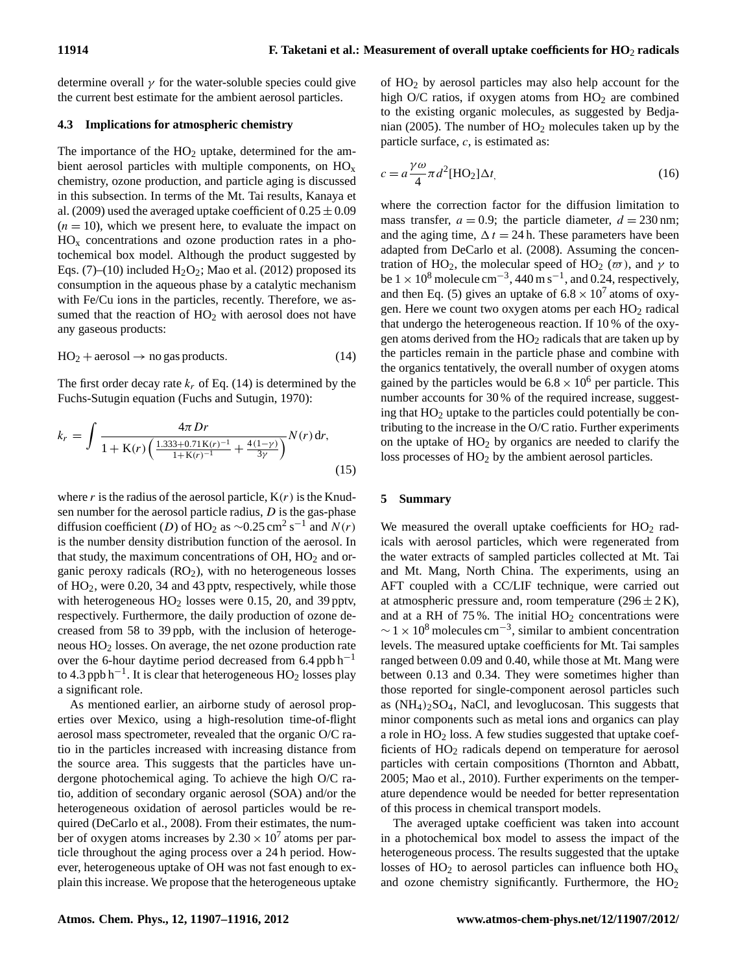determine overall  $\gamma$  for the water-soluble species could give the current best estimate for the ambient aerosol particles.

#### **4.3 Implications for atmospheric chemistry**

The importance of the  $HO<sub>2</sub>$  uptake, determined for the ambient aerosol particles with multiple components, on  $HO_x$ chemistry, ozone production, and particle aging is discussed in this subsection. In terms of the Mt. Tai results, Kanaya et al. (2009) used the averaged uptake coefficient of  $0.25 \pm 0.09$  $(n = 10)$ , which we present here, to evaluate the impact on  $HO<sub>x</sub>$  concentrations and ozone production rates in a photochemical box model. Although the product suggested by Eqs. (7)–(10) included  $H_2O_2$ ; Mao et al. (2012) proposed its consumption in the aqueous phase by a catalytic mechanism with Fe/Cu ions in the particles, recently. Therefore, we assumed that the reaction of  $HO<sub>2</sub>$  with aerosol does not have any gaseous products:

$$
HO_2 + aerosol \to no gas products. \tag{14}
$$

The first order decay rate  $k_r$  of Eq. (14) is determined by the Fuchs-Sutugin equation (Fuchs and Sutugin, 1970):

$$
k_r = \int \frac{4\pi Dr}{1 + \mathbf{K}(r) \left( \frac{1.333 + 0.71 \mathbf{K}(r)^{-1}}{1 + \mathbf{K}(r)^{-1}} + \frac{4(1 - \gamma)}{3\gamma} \right)} N(r) dr, \tag{15}
$$

where r is the radius of the aerosol particle,  $K(r)$  is the Knudsen number for the aerosol particle radius,  $D$  is the gas-phase diffusion coefficient (D) of HO<sub>2</sub> as ~0.25 cm<sup>2</sup> s<sup>-1</sup> and  $N(r)$ is the number density distribution function of the aerosol. In that study, the maximum concentrations of  $OH$ ,  $HO<sub>2</sub>$  and organic peroxy radicals  $(RO<sub>2</sub>)$ , with no heterogeneous losses of  $HO_2$ , were 0.20, 34 and 43 pptv, respectively, while those with heterogeneous  $HO<sub>2</sub>$  losses were 0.15, 20, and 39 pptv, respectively. Furthermore, the daily production of ozone decreased from 58 to 39 ppb, with the inclusion of heterogeneous HO<sup>2</sup> losses. On average, the net ozone production rate over the 6-hour daytime period decreased from  $6.4$  ppb h<sup>-1</sup> to 4.3 ppb h<sup>-1</sup>. It is clear that heterogeneous  $HO_2$  losses play a significant role.

As mentioned earlier, an airborne study of aerosol properties over Mexico, using a high-resolution time-of-flight aerosol mass spectrometer, revealed that the organic O/C ratio in the particles increased with increasing distance from the source area. This suggests that the particles have undergone photochemical aging. To achieve the high O/C ratio, addition of secondary organic aerosol (SOA) and/or the heterogeneous oxidation of aerosol particles would be required (DeCarlo et al., 2008). From their estimates, the number of oxygen atoms increases by  $2.30 \times 10^7$  atoms per particle throughout the aging process over a 24 h period. However, heterogeneous uptake of OH was not fast enough to explain this increase. We propose that the heterogeneous uptake of HO<sup>2</sup> by aerosol particles may also help account for the high O/C ratios, if oxygen atoms from  $HO<sub>2</sub>$  are combined to the existing organic molecules, as suggested by Bedjanian (2005). The number of  $HO<sub>2</sub>$  molecules taken up by the particle surface,  $c$ , is estimated as:

$$
c = a \frac{\gamma \omega}{4} \pi d^2 [\text{HO}_2] \Delta t, \qquad (16)
$$

where the correction factor for the diffusion limitation to mass transfer,  $a = 0.9$ ; the particle diameter,  $d = 230$  nm; and the aging time,  $\Delta t = 24$  h. These parameters have been adapted from DeCarlo et al. (2008). Assuming the concentration of HO<sub>2</sub>, the molecular speed of HO<sub>2</sub> ( $\varpi$ ), and  $\gamma$  to be  $1 \times 10^8$  molecule cm<sup>-3</sup>, 440 m s<sup>-1</sup>, and 0.24, respectively, and then Eq. (5) gives an uptake of  $6.8 \times 10^7$  atoms of oxygen. Here we count two oxygen atoms per each HO<sub>2</sub> radical that undergo the heterogeneous reaction. If 10 % of the oxygen atoms derived from the  $HO<sub>2</sub>$  radicals that are taken up by the particles remain in the particle phase and combine with the organics tentatively, the overall number of oxygen atoms gained by the particles would be  $6.8 \times 10^6$  per particle. This number accounts for 30 % of the required increase, suggesting that HO<sup>2</sup> uptake to the particles could potentially be contributing to the increase in the O/C ratio. Further experiments on the uptake of  $HO<sub>2</sub>$  by organics are needed to clarify the loss processes of HO<sub>2</sub> by the ambient aerosol particles.

#### **5 Summary**

We measured the overall uptake coefficients for  $HO<sub>2</sub>$  radicals with aerosol particles, which were regenerated from the water extracts of sampled particles collected at Mt. Tai and Mt. Mang, North China. The experiments, using an AFT coupled with a CC/LIF technique, were carried out at atmospheric pressure and, room temperature  $(296 \pm 2 \text{ K})$ , and at a RH of  $75\%$ . The initial  $HO<sub>2</sub>$  concentrations were  $\sim$  1 × 10<sup>8</sup> molecules cm<sup>-3</sup>, similar to ambient concentration levels. The measured uptake coefficients for Mt. Tai samples ranged between 0.09 and 0.40, while those at Mt. Mang were between 0.13 and 0.34. They were sometimes higher than those reported for single-component aerosol particles such as (NH4)2SO4, NaCl, and levoglucosan. This suggests that minor components such as metal ions and organics can play a role in  $HO<sub>2</sub>$  loss. A few studies suggested that uptake coefficients of HO<sup>2</sup> radicals depend on temperature for aerosol particles with certain compositions (Thornton and Abbatt, 2005; Mao et al., 2010). Further experiments on the temperature dependence would be needed for better representation of this process in chemical transport models.

The averaged uptake coefficient was taken into account in a photochemical box model to assess the impact of the heterogeneous process. The results suggested that the uptake losses of  $HO<sub>2</sub>$  to aerosol particles can influence both  $HO<sub>x</sub>$ and ozone chemistry significantly. Furthermore, the  $HO<sub>2</sub>$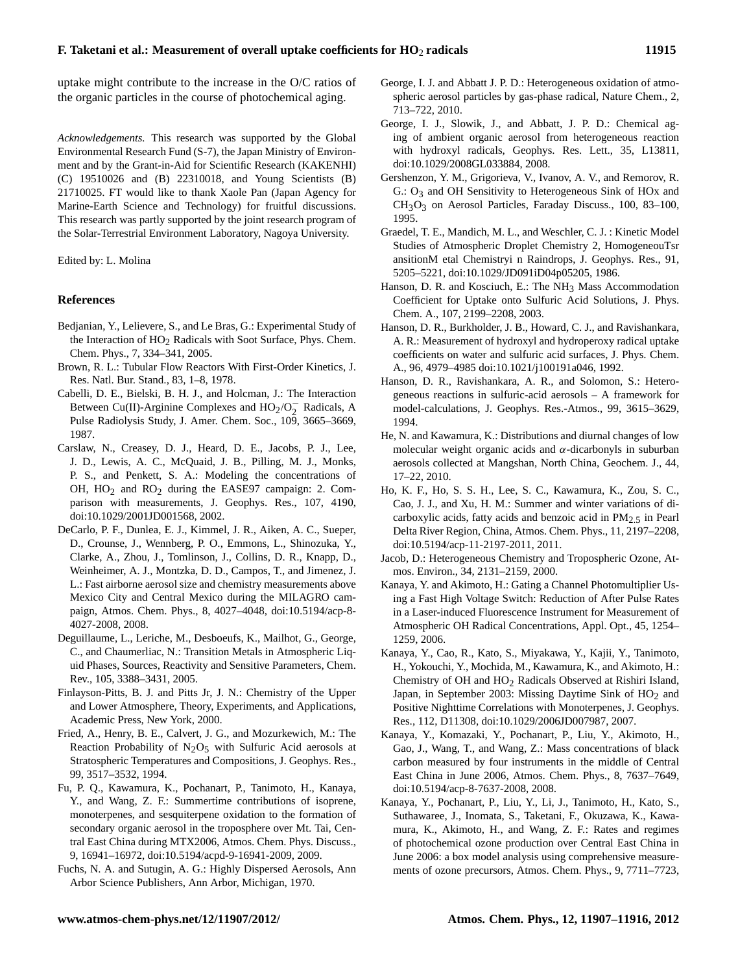uptake might contribute to the increase in the O/C ratios of the organic particles in the course of photochemical aging.

*Acknowledgements.* This research was supported by the Global Environmental Research Fund (S-7), the Japan Ministry of Environment and by the Grant-in-Aid for Scientific Research (KAKENHI) (C) 19510026 and (B) 22310018, and Young Scientists (B) 21710025. FT would like to thank Xaole Pan (Japan Agency for Marine-Earth Science and Technology) for fruitful discussions. This research was partly supported by the joint research program of the Solar-Terrestrial Environment Laboratory, Nagoya University.

Edited by: L. Molina

#### **References**

- Bedjanian, Y., Lelievere, S., and Le Bras, G.: Experimental Study of the Interaction of HO<sub>2</sub> Radicals with Soot Surface, Phys. Chem. Chem. Phys., 7, 334–341, 2005.
- Brown, R. L.: Tubular Flow Reactors With First-Order Kinetics, J. Res. Natl. Bur. Stand., 83, 1–8, 1978.
- Cabelli, D. E., Bielski, B. H. J., and Holcman, J.: The Interaction Between Cu(II)-Arginine Complexes and  $HO_2/O_2^-$  Radicals, A Pulse Radiolysis Study, J. Amer. Chem. Soc., 109, 3665–3669, 1987.
- Carslaw, N., Creasey, D. J., Heard, D. E., Jacobs, P. J., Lee, J. D., Lewis, A. C., McQuaid, J. B., Pilling, M. J., Monks, P. S., and Penkett, S. A.: Modeling the concentrations of OH,  $HO_2$  and  $RO_2$  during the EASE97 campaign: 2. Comparison with measurements, J. Geophys. Res., 107, 4190, [doi:10.1029/2001JD001568,](http://dx.doi.org/10.1029/2001JD001568) 2002.
- DeCarlo, P. F., Dunlea, E. J., Kimmel, J. R., Aiken, A. C., Sueper, D., Crounse, J., Wennberg, P. O., Emmons, L., Shinozuka, Y., Clarke, A., Zhou, J., Tomlinson, J., Collins, D. R., Knapp, D., Weinheimer, A. J., Montzka, D. D., Campos, T., and Jimenez, J. L.: Fast airborne aerosol size and chemistry measurements above Mexico City and Central Mexico during the MILAGRO campaign, Atmos. Chem. Phys., 8, 4027–4048, [doi:10.5194/acp-8-](http://dx.doi.org/10.5194/acp-8-4027-2008) [4027-2008,](http://dx.doi.org/10.5194/acp-8-4027-2008) 2008.
- Deguillaume, L., Leriche, M., Desboeufs, K., Mailhot, G., George, C., and Chaumerliac, N.: Transition Metals in Atmospheric Liquid Phases, Sources, Reactivity and Sensitive Parameters, Chem. Rev., 105, 3388–3431, 2005.
- Finlayson-Pitts, B. J. and Pitts Jr, J. N.: Chemistry of the Upper and Lower Atmosphere, Theory, Experiments, and Applications, Academic Press, New York, 2000.
- Fried, A., Henry, B. E., Calvert, J. G., and Mozurkewich, M.: The Reaction Probability of  $N_2O_5$  with Sulfuric Acid aerosols at Stratospheric Temperatures and Compositions, J. Geophys. Res., 99, 3517–3532, 1994.
- Fu, P. Q., Kawamura, K., Pochanart, P., Tanimoto, H., Kanaya, Y., and Wang, Z. F.: Summertime contributions of isoprene, monoterpenes, and sesquiterpene oxidation to the formation of secondary organic aerosol in the troposphere over Mt. Tai, Central East China during MTX2006, Atmos. Chem. Phys. Discuss., 9, 16941–16972, [doi:10.5194/acpd-9-16941-2009,](http://dx.doi.org/10.5194/acpd-9-16941-2009) 2009.
- Fuchs, N. A. and Sutugin, A. G.: Highly Dispersed Aerosols, Ann Arbor Science Publishers, Ann Arbor, Michigan, 1970.
- George, I. J. and Abbatt J. P. D.: Heterogeneous oxidation of atmospheric aerosol particles by gas-phase radical, Nature Chem., 2, 713–722, 2010.
- George, I. J., Slowik, J., and Abbatt, J. P. D.: Chemical aging of ambient organic aerosol from heterogeneous reaction with hydroxyl radicals, Geophys. Res. Lett., 35, L13811, [doi:10.1029/2008GL033884,](http://dx.doi.org/10.1029/2008GL033884) 2008.
- Gershenzon, Y. M., Grigorieva, V., Ivanov, A. V., and Remorov, R. G.: O<sub>3</sub> and OH Sensitivity to Heterogeneous Sink of HOx and CH3O3 on Aerosol Particles, Faraday Discuss., 100, 83–100, 1995.
- Graedel, T. E., Mandich, M. L., and Weschler, C. J. : Kinetic Model Studies of Atmospheric Droplet Chemistry 2, HomogeneouTsr ansitionM etal Chemistryi n Raindrops, J. Geophys. Res., 91, 5205–5221, [doi:10.1029/JD091iD04p05205,](http://dx.doi.org/10.1029/JD091iD04p05205) 1986.
- Hanson, D. R. and Kosciuch, E.: The NH<sub>3</sub> Mass Accommodation Coefficient for Uptake onto Sulfuric Acid Solutions, J. Phys. Chem. A., 107, 2199–2208, 2003.
- Hanson, D. R., Burkholder, J. B., Howard, C. J., and Ravishankara, A. R.: Measurement of hydroxyl and hydroperoxy radical uptake coefficients on water and sulfuric acid surfaces, J. Phys. Chem. A., 96, 4979–4985 [doi:10.1021/j100191a046,](http://dx.doi.org/10.1021/j100191a046) 1992.
- Hanson, D. R., Ravishankara, A. R., and Solomon, S.: Heterogeneous reactions in sulfuric-acid aerosols – A framework for model-calculations, J. Geophys. Res.-Atmos., 99, 3615–3629, 1994.
- He, N. and Kawamura, K.: Distributions and diurnal changes of low molecular weight organic acids and  $\alpha$ -dicarbonyls in suburban aerosols collected at Mangshan, North China, Geochem. J., 44, 17–22, 2010.
- Ho, K. F., Ho, S. S. H., Lee, S. C., Kawamura, K., Zou, S. C., Cao, J. J., and Xu, H. M.: Summer and winter variations of dicarboxylic acids, fatty acids and benzoic acid in  $PM<sub>2.5</sub>$  in Pearl Delta River Region, China, Atmos. Chem. Phys., 11, 2197–2208, [doi:10.5194/acp-11-2197-2011,](http://dx.doi.org/10.5194/acp-11-2197-2011) 2011.
- Jacob, D.: Heterogeneous Chemistry and Tropospheric Ozone, Atmos. Environ., 34, 2131–2159, 2000.
- Kanaya, Y. and Akimoto, H.: Gating a Channel Photomultiplier Using a Fast High Voltage Switch: Reduction of After Pulse Rates in a Laser-induced Fluorescence Instrument for Measurement of Atmospheric OH Radical Concentrations, Appl. Opt., 45, 1254– 1259, 2006.
- Kanaya, Y., Cao, R., Kato, S., Miyakawa, Y., Kajii, Y., Tanimoto, H., Yokouchi, Y., Mochida, M., Kawamura, K., and Akimoto, H.: Chemistry of OH and HO2 Radicals Observed at Rishiri Island, Japan, in September 2003: Missing Daytime Sink of  $HO<sub>2</sub>$  and Positive Nighttime Correlations with Monoterpenes, J. Geophys. Res., 112, D11308, [doi:10.1029/2006JD007987,](http://dx.doi.org/10.1029/2006JD007987) 2007.
- Kanaya, Y., Komazaki, Y., Pochanart, P., Liu, Y., Akimoto, H., Gao, J., Wang, T., and Wang, Z.: Mass concentrations of black carbon measured by four instruments in the middle of Central East China in June 2006, Atmos. Chem. Phys., 8, 7637–7649, [doi:10.5194/acp-8-7637-2008,](http://dx.doi.org/10.5194/acp-8-7637-2008) 2008.
- Kanaya, Y., Pochanart, P., Liu, Y., Li, J., Tanimoto, H., Kato, S., Suthawaree, J., Inomata, S., Taketani, F., Okuzawa, K., Kawamura, K., Akimoto, H., and Wang, Z. F.: Rates and regimes of photochemical ozone production over Central East China in June 2006: a box model analysis using comprehensive measurements of ozone precursors, Atmos. Chem. Phys., 9, 7711–7723,